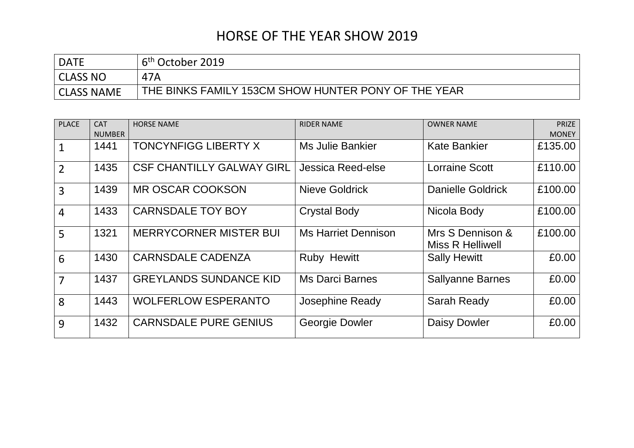| <b>DATE</b>       | 6 <sup>th</sup> October 2019                        |
|-------------------|-----------------------------------------------------|
| CLASS NO          | 47A                                                 |
| <b>CLASS NAME</b> | THE BINKS FAMILY 153CM SHOW HUNTER PONY OF THE YEAR |

| <b>PLACE</b>   | <b>CAT</b><br><b>NUMBER</b> | <b>HORSE NAME</b>                | <b>RIDER NAME</b>          | <b>OWNER NAME</b>                           | <b>PRIZE</b><br><b>MONEY</b> |
|----------------|-----------------------------|----------------------------------|----------------------------|---------------------------------------------|------------------------------|
|                | 1441                        | <b>TONCYNFIGG LIBERTY X</b>      | <b>Ms Julie Bankier</b>    | <b>Kate Bankier</b>                         | £135.00                      |
| $\overline{2}$ | 1435                        | <b>CSF CHANTILLY GALWAY GIRL</b> | Jessica Reed-else          | <b>Lorraine Scott</b>                       | £110.00                      |
| $\overline{3}$ | 1439                        | <b>MR OSCAR COOKSON</b>          | <b>Nieve Goldrick</b>      | <b>Danielle Goldrick</b>                    | £100.00                      |
| $\overline{4}$ | 1433                        | <b>CARNSDALE TOY BOY</b>         | <b>Crystal Body</b>        | Nicola Body                                 | £100.00                      |
| 5              | 1321                        | <b>MERRYCORNER MISTER BUI</b>    | <b>Ms Harriet Dennison</b> | Mrs S Dennison &<br><b>Miss R Helliwell</b> | £100.00                      |
| 6              | 1430                        | <b>CARNSDALE CADENZA</b>         | <b>Ruby Hewitt</b>         | <b>Sally Hewitt</b>                         | £0.00                        |
| $\overline{7}$ | 1437                        | <b>GREYLANDS SUNDANCE KID</b>    | <b>Ms Darci Barnes</b>     | <b>Sallyanne Barnes</b>                     | £0.00                        |
| 8              | 1443                        | <b>WOLFERLOW ESPERANTO</b>       | Josephine Ready            | <b>Sarah Ready</b>                          | £0.00                        |
| 9              | 1432                        | <b>CARNSDALE PURE GENIUS</b>     | Georgie Dowler             | Daisy Dowler                                | £0.00                        |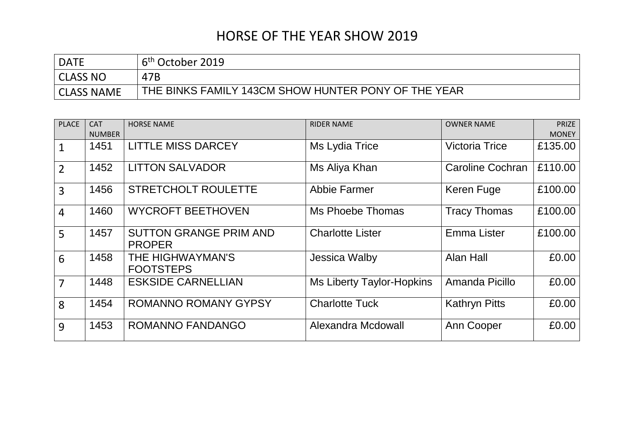| <b>DATE</b>       | 6 <sup>th</sup> October 2019                        |
|-------------------|-----------------------------------------------------|
| CLASS NO          | 47B                                                 |
| <b>CLASS NAME</b> | THE BINKS FAMILY 143CM SHOW HUNTER PONY OF THE YEAR |

| <b>PLACE</b>   | <b>CAT</b>    | <b>HORSE NAME</b>                              | <b>RIDER NAME</b>                | <b>OWNER NAME</b>     | <b>PRIZE</b> |
|----------------|---------------|------------------------------------------------|----------------------------------|-----------------------|--------------|
|                | <b>NUMBER</b> |                                                |                                  |                       | <b>MONEY</b> |
| 1              | 1451          | <b>LITTLE MISS DARCEY</b>                      | Ms Lydia Trice                   | <b>Victoria Trice</b> | £135.00      |
| $\overline{2}$ | 1452          | <b>LITTON SALVADOR</b>                         | Ms Aliya Khan                    | Caroline Cochran      | £110.00      |
| $\overline{3}$ | 1456          | <b>STRETCHOLT ROULETTE</b>                     | <b>Abbie Farmer</b>              | Keren Fuge            | £100.00      |
| $\overline{4}$ | 1460          | <b>WYCROFT BEETHOVEN</b>                       | Ms Phoebe Thomas                 | <b>Tracy Thomas</b>   | £100.00      |
| 5              | 1457          | <b>SUTTON GRANGE PRIM AND</b><br><b>PROPER</b> | <b>Charlotte Lister</b>          | <b>Emma Lister</b>    | £100.00      |
| 6              | 1458          | THE HIGHWAYMAN'S<br><b>FOOTSTEPS</b>           | Jessica Walby                    | Alan Hall             | £0.00        |
| 7              | 1448          | <b>ESKSIDE CARNELLIAN</b>                      | <b>Ms Liberty Taylor-Hopkins</b> | Amanda Picillo        | £0.00        |
| 8              | 1454          | <b>ROMANNO ROMANY GYPSY</b>                    | <b>Charlotte Tuck</b>            | <b>Kathryn Pitts</b>  | £0.00        |
| 9              | 1453          | <b>ROMANNO FANDANGO</b>                        | Alexandra Mcdowall               | Ann Cooper            | £0.00        |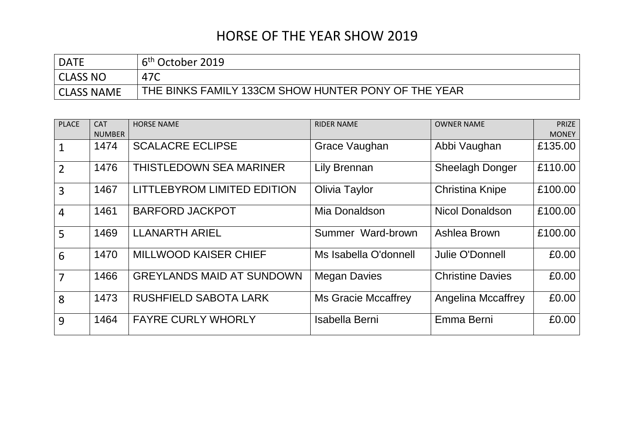| <b>DATE</b>       | 6 <sup>th</sup> October 2019                        |
|-------------------|-----------------------------------------------------|
| CLASS NO          | 47C                                                 |
| <b>CLASS NAME</b> | THE BINKS FAMILY 133CM SHOW HUNTER PONY OF THE YEAR |

| <b>PLACE</b>   | <b>CAT</b><br><b>NUMBER</b> | <b>HORSE NAME</b>                | <b>RIDER NAME</b>          | <b>OWNER NAME</b>         | <b>PRIZE</b><br><b>MONEY</b> |
|----------------|-----------------------------|----------------------------------|----------------------------|---------------------------|------------------------------|
|                | 1474                        | <b>SCALACRE ECLIPSE</b>          | Grace Vaughan              | Abbi Vaughan              | £135.00                      |
| $\overline{2}$ | 1476                        | <b>THISTLEDOWN SEA MARINER</b>   | Lily Brennan               | <b>Sheelagh Donger</b>    | £110.00                      |
| $\overline{3}$ | 1467                        | LITTLEBYROM LIMITED EDITION      | Olivia Taylor              | <b>Christina Knipe</b>    | £100.00                      |
| $\overline{4}$ | 1461                        | <b>BARFORD JACKPOT</b>           | Mia Donaldson              | <b>Nicol Donaldson</b>    | £100.00                      |
| 5              | 1469                        | <b>LLANARTH ARIEL</b>            | Summer Ward-brown          | Ashlea Brown              | £100.00                      |
| 6              | 1470                        | <b>MILLWOOD KAISER CHIEF</b>     | Ms Isabella O'donnell      | Julie O'Donnell           | £0.00                        |
| $\overline{7}$ | 1466                        | <b>GREYLANDS MAID AT SUNDOWN</b> | <b>Megan Davies</b>        | <b>Christine Davies</b>   | £0.00                        |
| 8              | 1473                        | <b>RUSHFIELD SABOTA LARK</b>     | <b>Ms Gracie Mccaffrey</b> | <b>Angelina Mccaffrey</b> | £0.00                        |
| 9              | 1464                        | <b>FAYRE CURLY WHORLY</b>        | <b>Isabella Berni</b>      | Emma Berni                | £0.00                        |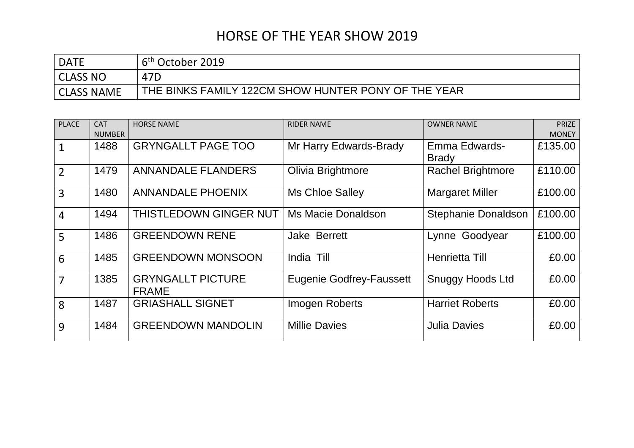| <b>DATE</b> | 6 <sup>th</sup> October 2019                        |
|-------------|-----------------------------------------------------|
| CLASS NO    | 47D                                                 |
| CLASS NAME  | THE BINKS FAMILY 122CM SHOW HUNTER PONY OF THE YEAR |

| <b>PLACE</b>   | <b>CAT</b>    | <b>HORSE NAME</b>                        | <b>RIDER NAME</b>               | <b>OWNER NAME</b>          | <b>PRIZE</b> |
|----------------|---------------|------------------------------------------|---------------------------------|----------------------------|--------------|
|                | <b>NUMBER</b> |                                          |                                 |                            | <b>MONEY</b> |
|                | 1488          | <b>GRYNGALLT PAGE TOO</b>                | Mr Harry Edwards-Brady          | Emma Edwards-              | £135.00      |
|                |               |                                          |                                 | <b>Brady</b>               |              |
| $\overline{2}$ | 1479          | <b>ANNANDALE FLANDERS</b>                | Olivia Brightmore               | <b>Rachel Brightmore</b>   | £110.00      |
| 3              | 1480          | <b>ANNANDALE PHOENIX</b>                 | <b>Ms Chloe Salley</b>          | <b>Margaret Miller</b>     | £100.00      |
| $\overline{4}$ | 1494          | <b>THISTLEDOWN GINGER NUT</b>            | Ms Macie Donaldson              | <b>Stephanie Donaldson</b> | £100.00      |
| 5              | 1486          | <b>GREENDOWN RENE</b>                    | Jake Berrett                    | Lynne Goodyear             | £100.00      |
| 6              | 1485          | <b>GREENDOWN MONSOON</b>                 | India Till                      | Henrietta Till             | £0.00        |
| $\overline{7}$ | 1385          | <b>GRYNGALLT PICTURE</b><br><b>FRAME</b> | <b>Eugenie Godfrey-Faussett</b> | <b>Snuggy Hoods Ltd</b>    | £0.00        |
| 8              | 1487          | <b>GRIASHALL SIGNET</b>                  | <b>Imogen Roberts</b>           | <b>Harriet Roberts</b>     | £0.00        |
| 9              | 1484          | <b>GREENDOWN MANDOLIN</b>                | <b>Millie Davies</b>            | <b>Julia Davies</b>        | £0.00        |